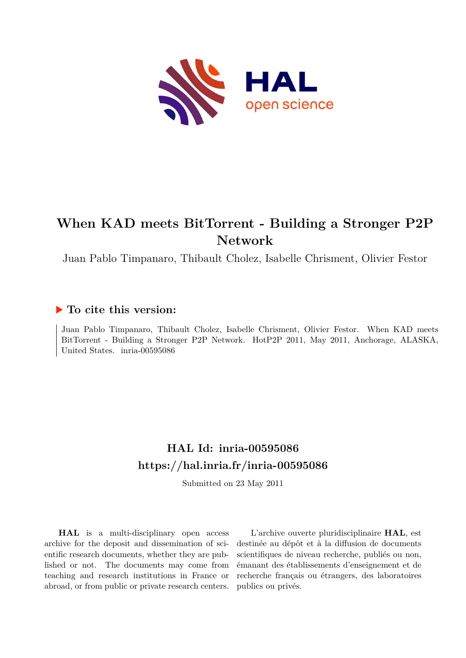

## **When KAD meets BitTorrent - Building a Stronger P2P Network**

Juan Pablo Timpanaro, Thibault Cholez, Isabelle Chrisment, Olivier Festor

### **To cite this version:**

Juan Pablo Timpanaro, Thibault Cholez, Isabelle Chrisment, Olivier Festor. When KAD meets BitTorrent - Building a Stronger P2P Network. HotP2P 2011, May 2011, Anchorage, ALASKA, United States.  $inria-00595086$ 

## **HAL Id: inria-00595086 <https://hal.inria.fr/inria-00595086>**

Submitted on 23 May 2011

**HAL** is a multi-disciplinary open access archive for the deposit and dissemination of scientific research documents, whether they are published or not. The documents may come from teaching and research institutions in France or abroad, or from public or private research centers.

L'archive ouverte pluridisciplinaire **HAL**, est destinée au dépôt et à la diffusion de documents scientifiques de niveau recherche, publiés ou non, émanant des établissements d'enseignement et de recherche français ou étrangers, des laboratoires publics ou privés.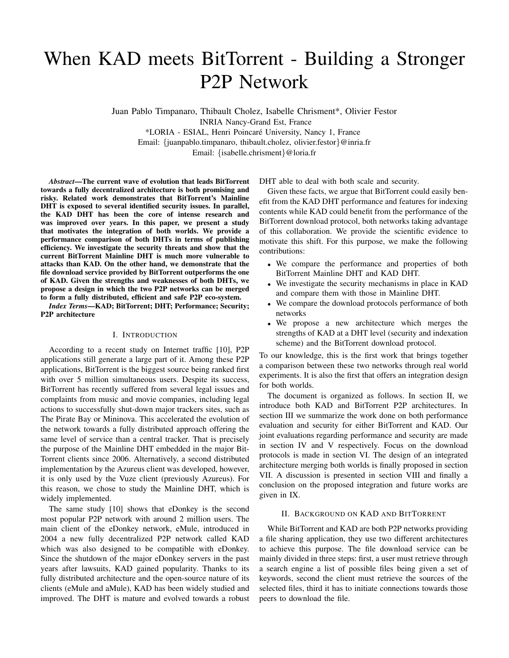# When KAD meets BitTorrent - Building a Stronger P2P Network

Juan Pablo Timpanaro, Thibault Cholez, Isabelle Chrisment\*, Olivier Festor INRIA Nancy-Grand Est, France \*LORIA - ESIAL, Henri Poincare University, Nancy 1, France ´ Email: {juanpablo.timpanaro, thibault.cholez, olivier.festor}@inria.fr

Email: {isabelle.chrisment}@loria.fr

*Abstract*—The current wave of evolution that leads BitTorrent towards a fully decentralized architecture is both promising and risky. Related work demonstrates that BitTorrent's Mainline DHT is exposed to several identified security issues. In parallel, the KAD DHT has been the core of intense research and was improved over years. In this paper, we present a study that motivates the integration of both worlds. We provide a performance comparison of both DHTs in terms of publishing efficiency. We investigate the security threats and show that the current BitTorrent Mainline DHT is much more vulnerable to attacks than KAD. On the other hand, we demonstrate that the file download service provided by BitTorrent outperforms the one of KAD. Given the strengths and weaknesses of both DHTs, we propose a design in which the two P2P networks can be merged to form a fully distributed, efficient and safe P2P eco-system.

*Index Terms*—KAD; BitTorrent; DHT; Performance; Security; P2P architecture

#### I. INTRODUCTION

According to a recent study on Internet traffic [10], P2P applications still generate a large part of it. Among these P2P applications, BitTorrent is the biggest source being ranked first with over 5 million simultaneous users. Despite its success, BitTorrent has recently suffered from several legal issues and complaints from music and movie companies, including legal actions to successfully shut-down major trackers sites, such as The Pirate Bay or Mininova. This accelerated the evolution of the network towards a fully distributed approach offering the same level of service than a central tracker. That is precisely the purpose of the Mainline DHT embedded in the major Bit-Torrent clients since 2006. Alternatively, a second distributed implementation by the Azureus client was developed, however, it is only used by the Vuze client (previously Azureus). For this reason, we chose to study the Mainline DHT, which is widely implemented.

The same study [10] shows that eDonkey is the second most popular P2P network with around 2 million users. The main client of the eDonkey network, eMule, introduced in 2004 a new fully decentralized P2P network called KAD which was also designed to be compatible with eDonkey. Since the shutdown of the major eDonkey servers in the past years after lawsuits, KAD gained popularity. Thanks to its fully distributed architecture and the open-source nature of its clients (eMule and aMule), KAD has been widely studied and improved. The DHT is mature and evolved towards a robust DHT able to deal with both scale and security.

Given these facts, we argue that BitTorrent could easily benefit from the KAD DHT performance and features for indexing contents while KAD could benefit from the performance of the BitTorrent download protocol, both networks taking advantage of this collaboration. We provide the scientific evidence to motivate this shift. For this purpose, we make the following contributions:

- We compare the performance and properties of both BitTorrent Mainline DHT and KAD DHT.
- We investigate the security mechanisms in place in KAD and compare them with those in Mainline DHT.
- We compare the download protocols performance of both networks
- We propose a new architecture which merges the strengths of KAD at a DHT level (security and indexation scheme) and the BitTorrent download protocol.

To our knowledge, this is the first work that brings together a comparison between these two networks through real world experiments. It is also the first that offers an integration design for both worlds.

The document is organized as follows. In section II, we introduce both KAD and BitTorrent P2P architectures. In section III we summarize the work done on both performance evaluation and security for either BitTorrent and KAD. Our joint evaluations regarding performance and security are made in section IV and V respectively. Focus on the download protocols is made in section VI. The design of an integrated architecture merging both worlds is finally proposed in section VII. A discussion is presented in section VIII and finally a conclusion on the proposed integration and future works are given in IX.

#### II. BACKGROUND ON KAD AND BITTORRENT

While BitTorrent and KAD are both P2P networks providing a file sharing application, they use two different architectures to achieve this purpose. The file download service can be mainly divided in three steps: first, a user must retrieve through a search engine a list of possible files being given a set of keywords, second the client must retrieve the sources of the selected files, third it has to initiate connections towards those peers to download the file.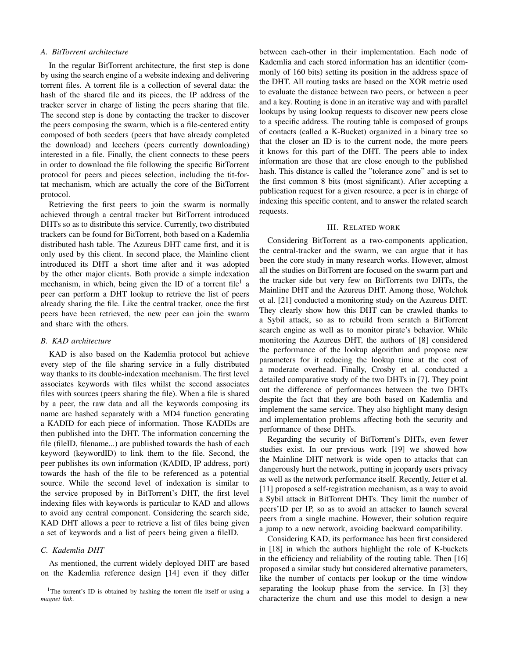#### *A. BitTorrent architecture*

In the regular BitTorrent architecture, the first step is done by using the search engine of a website indexing and delivering torrent files. A torrent file is a collection of several data: the hash of the shared file and its pieces, the IP address of the tracker server in charge of listing the peers sharing that file. The second step is done by contacting the tracker to discover the peers composing the swarm, which is a file-centered entity composed of both seeders (peers that have already completed the download) and leechers (peers currently downloading) interested in a file. Finally, the client connects to these peers in order to download the file following the specific BitTorrent protocol for peers and pieces selection, including the tit-fortat mechanism, which are actually the core of the BitTorrent protocol.

Retrieving the first peers to join the swarm is normally achieved through a central tracker but BitTorrent introduced DHTs so as to distribute this service. Currently, two distributed trackers can be found for BitTorrent, both based on a Kademlia distributed hash table. The Azureus DHT came first, and it is only used by this client. In second place, the Mainline client introduced its DHT a short time after and it was adopted by the other major clients. Both provide a simple indexation mechanism, in which, being given the ID of a torrent file<sup>1</sup> a peer can perform a DHT lookup to retrieve the list of peers already sharing the file. Like the central tracker, once the first peers have been retrieved, the new peer can join the swarm and share with the others.

#### *B. KAD architecture*

KAD is also based on the Kademlia protocol but achieve every step of the file sharing service in a fully distributed way thanks to its double-indexation mechanism. The first level associates keywords with files whilst the second associates files with sources (peers sharing the file). When a file is shared by a peer, the raw data and all the keywords composing its name are hashed separately with a MD4 function generating a KADID for each piece of information. Those KADIDs are then published into the DHT. The information concerning the file (fileID, filename...) are published towards the hash of each keyword (keywordID) to link them to the file. Second, the peer publishes its own information (KADID, IP address, port) towards the hash of the file to be referenced as a potential source. While the second level of indexation is similar to the service proposed by in BitTorrent's DHT, the first level indexing files with keywords is particular to KAD and allows to avoid any central component. Considering the search side, KAD DHT allows a peer to retrieve a list of files being given a set of keywords and a list of peers being given a fileID.

#### *C. Kademlia DHT*

As mentioned, the current widely deployed DHT are based on the Kademlia reference design [14] even if they differ between each-other in their implementation. Each node of Kademlia and each stored information has an identifier (commonly of 160 bits) setting its position in the address space of the DHT. All routing tasks are based on the XOR metric used to evaluate the distance between two peers, or between a peer and a key. Routing is done in an iterative way and with parallel lookups by using lookup requests to discover new peers close to a specific address. The routing table is composed of groups of contacts (called a K-Bucket) organized in a binary tree so that the closer an ID is to the current node, the more peers it knows for this part of the DHT. The peers able to index information are those that are close enough to the published hash. This distance is called the "tolerance zone" and is set to the first common 8 bits (most significant). After accepting a publication request for a given resource, a peer is in charge of indexing this specific content, and to answer the related search requests.

#### III. RELATED WORK

Considering BitTorrent as a two-components application, the central-tracker and the swarm, we can argue that it has been the core study in many research works. However, almost all the studies on BitTorrent are focused on the swarm part and the tracker side but very few on BitTorrents two DHTs, the Mainline DHT and the Azureus DHT. Among those, Wolchok et al. [21] conducted a monitoring study on the Azureus DHT. They clearly show how this DHT can be crawled thanks to a Sybil attack, so as to rebuild from scratch a BitTorrent search engine as well as to monitor pirate's behavior. While monitoring the Azureus DHT, the authors of [8] considered the performance of the lookup algorithm and propose new parameters for it reducing the lookup time at the cost of a moderate overhead. Finally, Crosby et al. conducted a detailed comparative study of the two DHTs in [7]. They point out the difference of performances between the two DHTs despite the fact that they are both based on Kademlia and implement the same service. They also highlight many design and implementation problems affecting both the security and performance of these DHTs.

Regarding the security of BitTorrent's DHTs, even fewer studies exist. In our previous work [19] we showed how the Mainline DHT network is wide open to attacks that can dangerously hurt the network, putting in jeopardy users privacy as well as the network performance itself. Recently, Jetter et al. [11] proposed a self-registration mechanism, as a way to avoid a Sybil attack in BitTorrent DHTs. They limit the number of peers'ID per IP, so as to avoid an attacker to launch several peers from a single machine. However, their solution require a jump to a new network, avoiding backward compatibility.

Considering KAD, its performance has been first considered in [18] in which the authors highlight the role of K-buckets in the efficiency and reliability of the routing table. Then [16] proposed a similar study but considered alternative parameters, like the number of contacts per lookup or the time window separating the lookup phase from the service. In [3] they characterize the churn and use this model to design a new

<sup>&</sup>lt;sup>1</sup>The torrent's ID is obtained by hashing the torrent file itself or using a *magnet link*.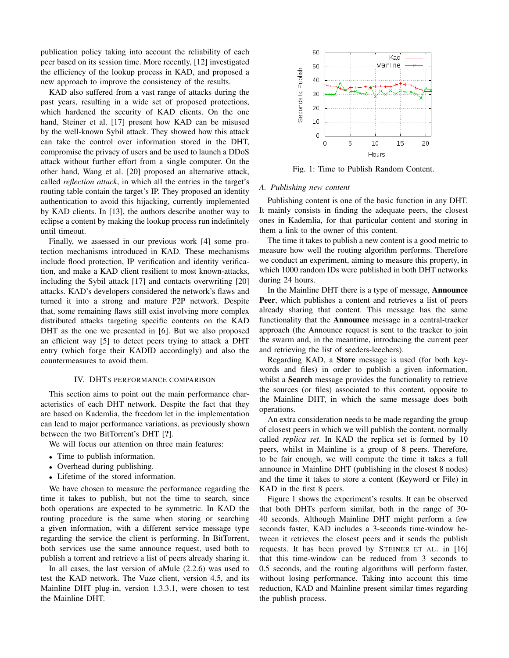publication policy taking into account the reliability of each peer based on its session time. More recently, [12] investigated the efficiency of the lookup process in KAD, and proposed a new approach to improve the consistency of the results.

KAD also suffered from a vast range of attacks during the past years, resulting in a wide set of proposed protections, which hardened the security of KAD clients. On the one hand, Steiner et al. [17] present how KAD can be misused by the well-known Sybil attack. They showed how this attack can take the control over information stored in the DHT, compromise the privacy of users and be used to launch a DDoS attack without further effort from a single computer. On the other hand, Wang et al. [20] proposed an alternative attack, called *reflection attack*, in which all the entries in the target's routing table contain the target's IP. They proposed an identity authentication to avoid this hijacking, currently implemented by KAD clients. In [13], the authors describe another way to eclipse a content by making the lookup process run indefinitely until timeout.

Finally, we assessed in our previous work [4] some protection mechanisms introduced in KAD. These mechanisms include flood protection, IP verification and identity verification, and make a KAD client resilient to most known-attacks, including the Sybil attack [17] and contacts overwriting [20] attacks. KAD's developers considered the network's flaws and turned it into a strong and mature P2P network. Despite that, some remaining flaws still exist involving more complex distributed attacks targeting specific contents on the KAD DHT as the one we presented in [6]. But we also proposed an efficient way [5] to detect peers trying to attack a DHT entry (which forge their KADID accordingly) and also the countermeasures to avoid them.

#### IV. DHTS PERFORMANCE COMPARISON

This section aims to point out the main performance characteristics of each DHT network. Despite the fact that they are based on Kademlia, the freedom let in the implementation can lead to major performance variations, as previously shown between the two BitTorrent's DHT [?].

We will focus our attention on three main features:

- Time to publish information.
- Overhead during publishing.
- Lifetime of the stored information.

We have chosen to measure the performance regarding the time it takes to publish, but not the time to search, since both operations are expected to be symmetric. In KAD the routing procedure is the same when storing or searching a given information, with a different service message type regarding the service the client is performing. In BitTorrent, both services use the same announce request, used both to publish a torrent and retrieve a list of peers already sharing it.

In all cases, the last version of aMule (2.2.6) was used to test the KAD network. The Vuze client, version 4.5, and its Mainline DHT plug-in, version 1.3.3.1, were chosen to test the Mainline DHT.



Fig. 1: Time to Publish Random Content.

#### *A. Publishing new content*

Publishing content is one of the basic function in any DHT. It mainly consists in finding the adequate peers, the closest ones in Kademlia, for that particular content and storing in them a link to the owner of this content.

The time it takes to publish a new content is a good metric to measure how well the routing algorithm performs. Therefore we conduct an experiment, aiming to measure this property, in which 1000 random IDs were published in both DHT networks during 24 hours.

In the Mainline DHT there is a type of message, Announce Peer, which publishes a content and retrieves a list of peers already sharing that content. This message has the same functionality that the Announce message in a central-tracker approach (the Announce request is sent to the tracker to join the swarm and, in the meantime, introducing the current peer and retrieving the list of seeders-leechers).

Regarding KAD, a Store message is used (for both keywords and files) in order to publish a given information, whilst a Search message provides the functionality to retrieve the sources (or files) associated to this content, opposite to the Mainline DHT, in which the same message does both operations.

An extra consideration needs to be made regarding the group of closest peers in which we will publish the content, normally called *replica set*. In KAD the replica set is formed by 10 peers, whilst in Mainline is a group of 8 peers. Therefore, to be fair enough, we will compute the time it takes a full announce in Mainline DHT (publishing in the closest 8 nodes) and the time it takes to store a content (Keyword or File) in KAD in the first 8 peers.

Figure 1 shows the experiment's results. It can be observed that both DHTs perform similar, both in the range of 30- 40 seconds. Although Mainline DHT might perform a few seconds faster, KAD includes a 3-seconds time-window between it retrieves the closest peers and it sends the publish requests. It has been proved by STEINER ET AL. in [16] that this time-window can be reduced from 3 seconds to 0.5 seconds, and the routing algorithms will perform faster, without losing performance. Taking into account this time reduction, KAD and Mainline present similar times regarding the publish process.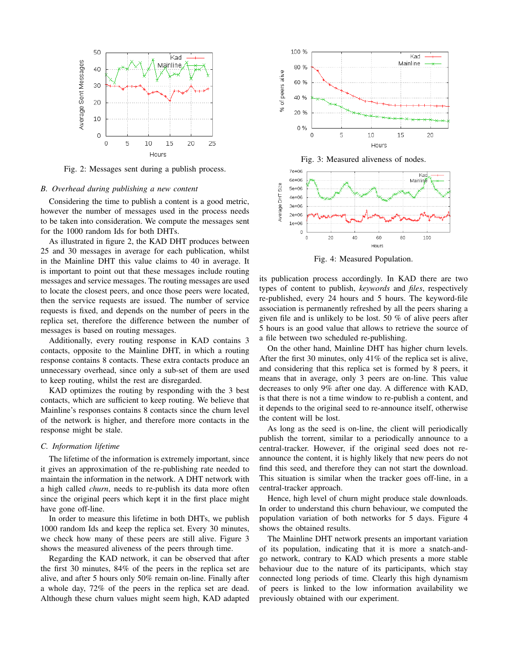

Fig. 2: Messages sent during a publish process.

#### *B. Overhead during publishing a new content*

Considering the time to publish a content is a good metric, however the number of messages used in the process needs to be taken into consideration. We compute the messages sent for the 1000 random Ids for both DHTs.

As illustrated in figure 2, the KAD DHT produces between 25 and 30 messages in average for each publication, whilst in the Mainline DHT this value claims to 40 in average. It is important to point out that these messages include routing messages and service messages. The routing messages are used to locate the closest peers, and once those peers were located, then the service requests are issued. The number of service requests is fixed, and depends on the number of peers in the replica set, therefore the difference between the number of messages is based on routing messages.

Additionally, every routing response in KAD contains 3 contacts, opposite to the Mainline DHT, in which a routing response contains 8 contacts. These extra contacts produce an unnecessary overhead, since only a sub-set of them are used to keep routing, whilst the rest are disregarded.

KAD optimizes the routing by responding with the 3 best contacts, which are sufficient to keep routing. We believe that Mainline's responses contains 8 contacts since the churn level of the network is higher, and therefore more contacts in the response might be stale.

#### *C. Information lifetime*

The lifetime of the information is extremely important, since it gives an approximation of the re-publishing rate needed to maintain the information in the network. A DHT network with a high called *churn*, needs to re-publish its data more often since the original peers which kept it in the first place might have gone off-line.

In order to measure this lifetime in both DHTs, we publish 1000 random Ids and keep the replica set. Every 30 minutes, we check how many of these peers are still alive. Figure 3 shows the measured aliveness of the peers through time.

Regarding the KAD network, it can be observed that after the first 30 minutes, 84% of the peers in the replica set are alive, and after 5 hours only 50% remain on-line. Finally after a whole day, 72% of the peers in the replica set are dead. Although these churn values might seem high, KAD adapted





Fig. 4: Measured Population.

its publication process accordingly. In KAD there are two types of content to publish, *keywords* and *files*, respectively re-published, every 24 hours and 5 hours. The keyword-file association is permanently refreshed by all the peers sharing a given file and is unlikely to be lost. 50 % of alive peers after 5 hours is an good value that allows to retrieve the source of a file between two scheduled re-publishing.

On the other hand, Mainline DHT has higher churn levels. After the first 30 minutes, only 41% of the replica set is alive, and considering that this replica set is formed by 8 peers, it means that in average, only 3 peers are on-line. This value decreases to only 9% after one day. A difference with KAD, is that there is not a time window to re-publish a content, and it depends to the original seed to re-announce itself, otherwise the content will be lost.

As long as the seed is on-line, the client will periodically publish the torrent, similar to a periodically announce to a central-tracker. However, if the original seed does not reannounce the content, it is highly likely that new peers do not find this seed, and therefore they can not start the download. This situation is similar when the tracker goes off-line, in a central-tracker approach.

Hence, high level of churn might produce stale downloads. In order to understand this churn behaviour, we computed the population variation of both networks for 5 days. Figure 4 shows the obtained results.

The Mainline DHT network presents an important variation of its population, indicating that it is more a snatch-andgo network, contrary to KAD which presents a more stable behaviour due to the nature of its participants, which stay connected long periods of time. Clearly this high dynamism of peers is linked to the low information availability we previously obtained with our experiment.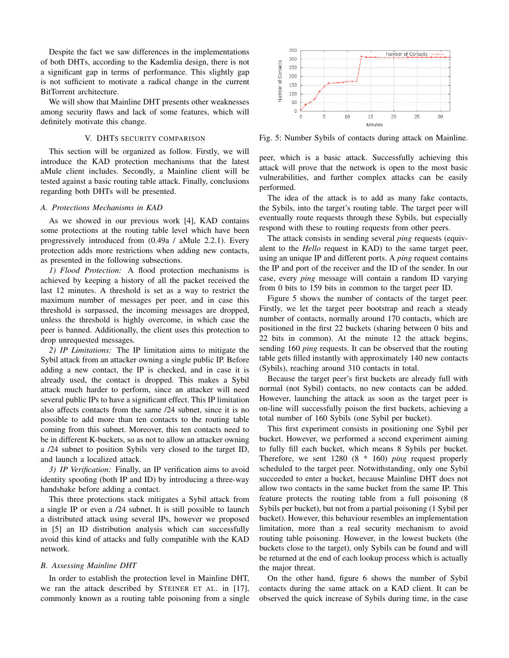Despite the fact we saw differences in the implementations of both DHTs, according to the Kademlia design, there is not a significant gap in terms of performance. This slightly gap is not sufficient to motivate a radical change in the current BitTorrent architecture.

We will show that Mainline DHT presents other weaknesses among security flaws and lack of some features, which will definitely motivate this change.

#### V. DHTS SECURITY COMPARISON

This section will be organized as follow. Firstly, we will introduce the KAD protection mechanisms that the latest aMule client includes. Secondly, a Mainline client will be tested against a basic routing table attack. Finally, conclusions regarding both DHTs will be presented.

#### *A. Protections Mechanisms in KAD*

As we showed in our previous work [4], KAD contains some protections at the routing table level which have been progressively introduced from (0.49a / aMule 2.2.1). Every protection adds more restrictions when adding new contacts, as presented in the following subsections.

*1) Flood Protection:* A flood protection mechanisms is achieved by keeping a history of all the packet received the last 12 minutes. A threshold is set as a way to restrict the maximum number of messages per peer, and in case this threshold is surpassed, the incoming messages are dropped, unless the threshold is highly overcome, in which case the peer is banned. Additionally, the client uses this protection to drop unrequested messages.

*2) IP Limitations:* The IP limitation aims to mitigate the Sybil attack from an attacker owning a single public IP. Before adding a new contact, the IP is checked, and in case it is already used, the contact is dropped. This makes a Sybil attack much harder to perform, since an attacker will need several public IPs to have a significant effect. This IP limitation also affects contacts from the same /24 subnet, since it is no possible to add more than ten contacts to the routing table coming from this subnet. Moreover, this ten contacts need to be in different K-buckets, so as not to allow an attacker owning a /24 subnet to position Sybils very closed to the target ID, and launch a localized attack.

*3) IP Verification:* Finally, an IP verification aims to avoid identity spoofing (both IP and ID) by introducing a three-way handshake before adding a contact.

This three protections stack mitigates a Sybil attack from a single IP or even a /24 subnet. It is still possible to launch a distributed attack using several IPs, however we proposed in [5] an ID distribution analysis which can successfully avoid this kind of attacks and fully compatible with the KAD network.

#### *B. Assessing Mainline DHT*

In order to establish the protection level in Mainline DHT, we ran the attack described by STEINER ET AL. in [17], commonly known as a routing table poisoning from a single



Fig. 5: Number Sybils of contacts during attack on Mainline.

peer, which is a basic attack. Successfully achieving this attack will prove that the network is open to the most basic vulnerabilities, and further complex attacks can be easily performed.

The idea of the attack is to add as many fake contacts, the Sybils, into the target's routing table. The target peer will eventually route requests through these Sybils, but especially respond with these to routing requests from other peers.

The attack consists in sending several *ping* requests (equivalent to the *Hello* request in KAD) to the same target peer, using an unique IP and different ports. A *ping* request contains the IP and port of the receiver and the ID of the sender. In our case, every *ping* message will contain a random ID varying from 0 bits to 159 bits in common to the target peer ID.

Figure 5 shows the number of contacts of the target peer. Firstly, we let the target peer bootstrap and reach a steady number of contacts, normally around 170 contacts, which are positioned in the first 22 buckets (sharing between 0 bits and 22 bits in common). At the minute 12 the attack begins, sending 160 *ping* requests. It can be observed that the routing table gets filled instantly with approximately 140 new contacts (Sybils), reaching around 310 contacts in total.

Because the target peer's first buckets are already full with normal (not Sybil) contacts, no new contacts can be added. However, launching the attack as soon as the target peer is on-line will successfully poison the first buckets, achieving a total number of 160 Sybils (one Sybil per bucket).

This first experiment consists in positioning one Sybil per bucket. However, we performed a second experiment aiming to fully fill each bucket, which means 8 Sybils per bucket. Therefore, we sent 1280 (8 \* 160) *ping* request properly scheduled to the target peer. Notwithstanding, only one Sybil succeeded to enter a bucket, because Mainline DHT does not allow two contacts in the same bucket from the same IP. This feature protects the routing table from a full poisoning (8 Sybils per bucket), but not from a partial poisoning (1 Sybil per bucket). However, this behaviour resembles an implementation limitation, more than a real security mechanism to avoid routing table poisoning. However, in the lowest buckets (the buckets close to the target), only Sybils can be found and will be returned at the end of each lookup process which is actually the major threat.

On the other hand, figure 6 shows the number of Sybil contacts during the same attack on a KAD client. It can be observed the quick increase of Sybils during time, in the case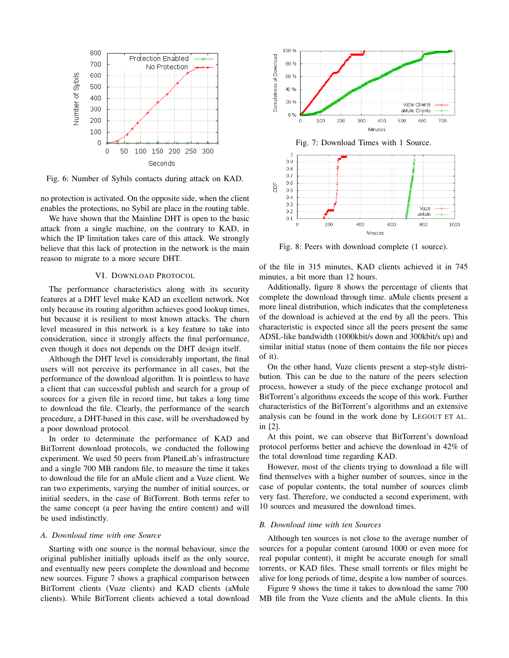

Fig. 6: Number of Sybils contacts during attack on KAD.

no protection is activated. On the opposite side, when the client enables the protections, no Sybil are place in the routing table.

We have shown that the Mainline DHT is open to the basic attack from a single machine, on the contrary to KAD, in which the IP limitation takes care of this attack. We strongly believe that this lack of protection in the network is the main reason to migrate to a more secure DHT.

#### VI. DOWNLOAD PROTOCOL

The performance characteristics along with its security features at a DHT level make KAD an excellent network. Not only because its routing algorithm achieves good lookup times, but because it is resilient to most known attacks. The churn level measured in this network is a key feature to take into consideration, since it strongly affects the final performance, even though it does not depends on the DHT design itself.

Although the DHT level is considerably important, the final users will not perceive its performance in all cases, but the performance of the download algorithm. It is pointless to have a client that can successful publish and search for a group of sources for a given file in record time, but takes a long time to download the file. Clearly, the performance of the search procedure, a DHT-based in this case, will be overshadowed by a poor download protocol.

In order to determinate the performance of KAD and BitTorrent download protocols, we conducted the following experiment. We used 50 peers from PlanetLab's infrastructure and a single 700 MB random file, to measure the time it takes to download the file for an aMule client and a Vuze client. We ran two experiments, varying the number of initial sources, or initial seeders, in the case of BitTorrent. Both terms refer to the same concept (a peer having the entire content) and will be used indistinctly.

#### *A. Download time with one Source*

Starting with one source is the normal behaviour, since the original publisher initially uploads itself as the only source, and eventually new peers complete the download and become new sources. Figure 7 shows a graphical comparison between BitTorrent clients (Vuze clients) and KAD clients (aMule clients). While BitTorrent clients achieved a total download



Fig. 8: Peers with download complete (1 source).

of the file in 315 minutes, KAD clients achieved it in 745 minutes, a bit more than 12 hours.

Additionally, figure 8 shows the percentage of clients that complete the download through time. aMule clients present a more lineal distribution, which indicates that the completeness of the download is achieved at the end by all the peers. This characteristic is expected since all the peers present the same ADSL-like bandwidth (1000kbit/s down and 300kbit/s up) and similar initial status (none of them contains the file nor pieces of it).

On the other hand, Vuze clients present a step-style distribution. This can be due to the nature of the peers selection process, however a study of the piece exchange protocol and BitTorrent's algorithms exceeds the scope of this work. Further characteristics of the BitTorrent's algorithms and an extensive analysis can be found in the work done by LEGOUT ET AL. in [2].

At this point, we can observe that BitTorrent's download protocol performs better and achieve the download in 42% of the total download time regarding KAD.

However, most of the clients trying to download a file will find themselves with a higher number of sources, since in the case of popular contents, the total number of sources climb very fast. Therefore, we conducted a second experiment, with 10 sources and measured the download times.

#### *B. Download time with ten Sources*

Although ten sources is not close to the average number of sources for a popular content (around 1000 or even more for real popular content), it might be accurate enough for small torrents, or KAD files. These small torrents or files might be alive for long periods of time, despite a low number of sources.

Figure 9 shows the time it takes to download the same 700 MB file from the Vuze clients and the aMule clients. In this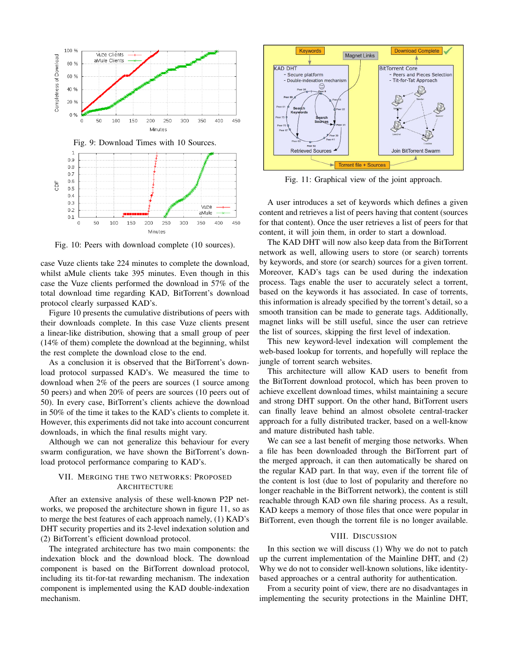

Fig. 10: Peers with download complete (10 sources).

case Vuze clients take 224 minutes to complete the download, whilst aMule clients take 395 minutes. Even though in this case the Vuze clients performed the download in 57% of the total download time regarding KAD, BitTorrent's download protocol clearly surpassed KAD's.

Figure 10 presents the cumulative distributions of peers with their downloads complete. In this case Vuze clients present a linear-like distribution, showing that a small group of peer (14% of them) complete the download at the beginning, whilst the rest complete the download close to the end.

As a conclusion it is observed that the BitTorrent's download protocol surpassed KAD's. We measured the time to download when 2% of the peers are sources (1 source among 50 peers) and when 20% of peers are sources (10 peers out of 50). In every case, BitTorrent's clients achieve the download in 50% of the time it takes to the KAD's clients to complete it. However, this experiments did not take into account concurrent downloads, in which the final results might vary.

Although we can not generalize this behaviour for every swarm configuration, we have shown the BitTorrent's download protocol performance comparing to KAD's.

#### VII. MERGING THE TWO NETWORKS: PROPOSED **ARCHITECTURE**

After an extensive analysis of these well-known P2P networks, we proposed the architecture shown in figure 11, so as to merge the best features of each approach namely, (1) KAD's DHT security properties and its 2-level indexation solution and (2) BitTorrent's efficient download protocol.

The integrated architecture has two main components: the indexation block and the download block. The download component is based on the BitTorrent download protocol, including its tit-for-tat rewarding mechanism. The indexation component is implemented using the KAD double-indexation mechanism.



Fig. 11: Graphical view of the joint approach.

A user introduces a set of keywords which defines a given content and retrieves a list of peers having that content (sources for that content). Once the user retrieves a list of peers for that content, it will join them, in order to start a download.

The KAD DHT will now also keep data from the BitTorrent network as well, allowing users to store (or search) torrents by keywords, and store (or search) sources for a given torrent. Moreover, KAD's tags can be used during the indexation process. Tags enable the user to accurately select a torrent, based on the keywords it has associated. In case of torrents, this information is already specified by the torrent's detail, so a smooth transition can be made to generate tags. Additionally, magnet links will be still useful, since the user can retrieve the list of sources, skipping the first level of indexation.

This new keyword-level indexation will complement the web-based lookup for torrents, and hopefully will replace the jungle of torrent search websites.

This architecture will allow KAD users to benefit from the BitTorrent download protocol, which has been proven to achieve excellent download times, whilst maintaining a secure and strong DHT support. On the other hand, BitTorrent users can finally leave behind an almost obsolete central-tracker approach for a fully distributed tracker, based on a well-know and mature distributed hash table.

We can see a last benefit of merging those networks. When a file has been downloaded through the BitTorrent part of the merged approach, it can then automatically be shared on the regular KAD part. In that way, even if the torrent file of the content is lost (due to lost of popularity and therefore no longer reachable in the BitTorrent network), the content is still reachable through KAD own file sharing process. As a result, KAD keeps a memory of those files that once were popular in BitTorrent, even though the torrent file is no longer available.

#### VIII. DISCUSSION

In this section we will discuss (1) Why we do not to patch up the current implementation of the Mainline DHT, and (2) Why we do not to consider well-known solutions, like identitybased approaches or a central authority for authentication.

From a security point of view, there are no disadvantages in implementing the security protections in the Mainline DHT,